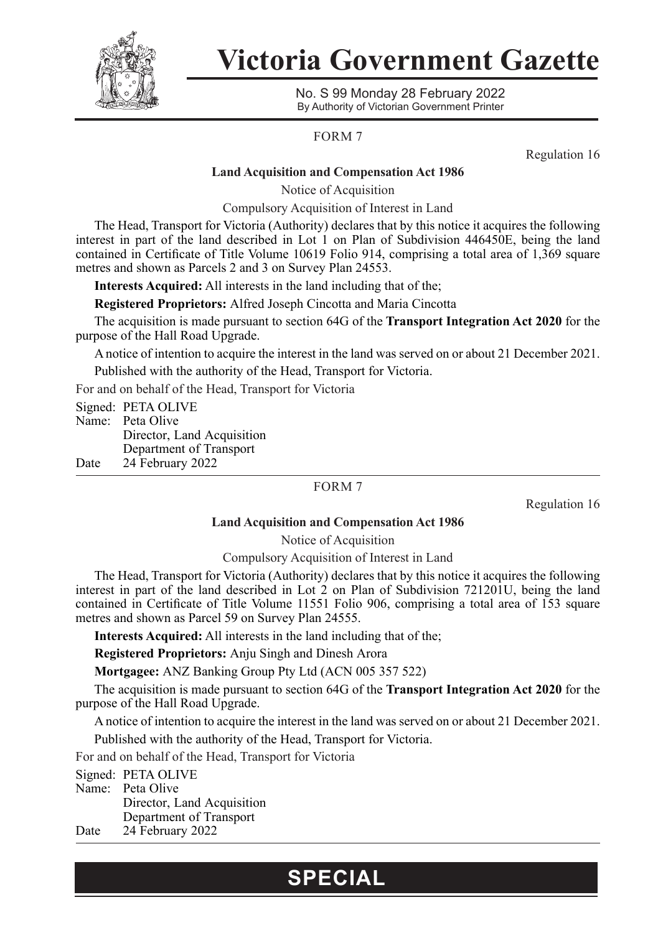

## **Victoria Government Gazette**

No. S 99 Monday 28 February 2022 By Authority of Victorian Government Printer

#### FORM 7

Regulation 16

#### **Land Acquisition and Compensation Act 1986**

Notice of Acquisition

Compulsory Acquisition of Interest in Land

The Head, Transport for Victoria (Authority) declares that by this notice it acquires the following interest in part of the land described in Lot 1 on Plan of Subdivision 446450E, being the land contained in Certificate of Title Volume 10619 Folio 914, comprising a total area of 1,369 square metres and shown as Parcels 2 and 3 on Survey Plan 24553.

**Interests Acquired:** All interests in the land including that of the;

**Registered Proprietors:** Alfred Joseph Cincotta and Maria Cincotta

The acquisition is made pursuant to section 64G of the **Transport Integration Act 2020** for the purpose of the Hall Road Upgrade.

A notice of intention to acquire the interest in the land was served on or about 21 December 2021.

Published with the authority of the Head, Transport for Victoria.

For and on behalf of the Head, Transport for Victoria

|      | Signed: PETA OLIVE         |
|------|----------------------------|
|      | Name: Peta Olive           |
|      | Director, Land Acquisition |
|      | Department of Transport    |
| Date | 24 February 2022           |

#### FORM 7

Regulation 16

#### **Land Acquisition and Compensation Act 1986**

Notice of Acquisition

Compulsory Acquisition of Interest in Land

The Head, Transport for Victoria (Authority) declares that by this notice it acquires the following interest in part of the land described in Lot 2 on Plan of Subdivision 721201U, being the land contained in Certificate of Title Volume 11551 Folio 906, comprising a total area of 153 square metres and shown as Parcel 59 on Survey Plan 24555.

**Interests Acquired:** All interests in the land including that of the;

**Registered Proprietors:** Anju Singh and Dinesh Arora

**Mortgagee:** ANZ Banking Group Pty Ltd (ACN 005 357 522)

The acquisition is made pursuant to section 64G of the **Transport Integration Act 2020** for the purpose of the Hall Road Upgrade.

A notice of intention to acquire the interest in the land was served on or about 21 December 2021.

Published with the authority of the Head, Transport for Victoria.

For and on behalf of the Head, Transport for Victoria

Signed: PETA OLIVE

Name: Peta Olive

Director, Land Acquisition

Department of Transport

Date 24 February 2022

### **SPECIAL**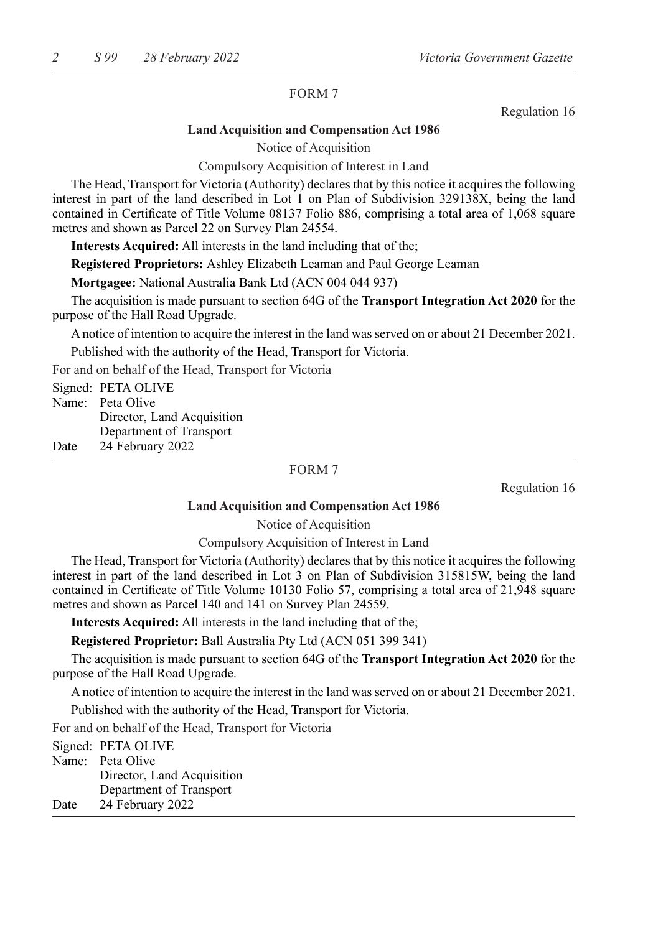Regulation 16

#### **Land Acquisition and Compensation Act 1986**

Notice of Acquisition

#### Compulsory Acquisition of Interest in Land

The Head, Transport for Victoria (Authority) declares that by this notice it acquires the following interest in part of the land described in Lot 1 on Plan of Subdivision 329138X, being the land contained in Certificate of Title Volume 08137 Folio 886, comprising a total area of 1,068 square metres and shown as Parcel 22 on Survey Plan 24554.

**Interests Acquired:** All interests in the land including that of the;

**Registered Proprietors:** Ashley Elizabeth Leaman and Paul George Leaman

**Mortgagee:** National Australia Bank Ltd (ACN 004 044 937)

The acquisition is made pursuant to section 64G of the **Transport Integration Act 2020** for the purpose of the Hall Road Upgrade.

A notice of intention to acquire the interest in the land was served on or about 21 December 2021.

Published with the authority of the Head, Transport for Victoria.

For and on behalf of the Head, Transport for Victoria

Signed: PETA OLIVE Name: Peta Olive Director, Land Acquisition Department of Transport Date 24 February 2022

FORM 7

Regulation 16

#### **Land Acquisition and Compensation Act 1986**

Notice of Acquisition

Compulsory Acquisition of Interest in Land

The Head, Transport for Victoria (Authority) declares that by this notice it acquires the following interest in part of the land described in Lot 3 on Plan of Subdivision 315815W, being the land contained in Certificate of Title Volume 10130 Folio 57, comprising a total area of 21,948 square metres and shown as Parcel 140 and 141 on Survey Plan 24559.

**Interests Acquired:** All interests in the land including that of the;

**Registered Proprietor:** Ball Australia Pty Ltd (ACN 051 399 341)

The acquisition is made pursuant to section 64G of the **Transport Integration Act 2020** for the purpose of the Hall Road Upgrade.

A notice of intention to acquire the interest in the land was served on or about 21 December 2021. Published with the authority of the Head, Transport for Victoria.

For and on behalf of the Head, Transport for Victoria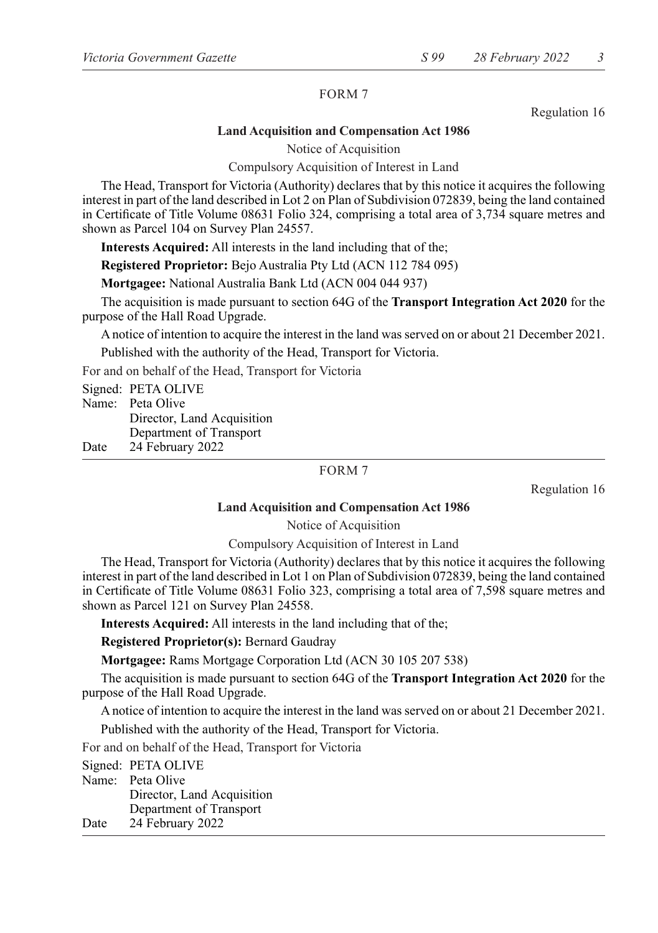Regulation 16

#### **Land Acquisition and Compensation Act 1986**

Notice of Acquisition

Compulsory Acquisition of Interest in Land

The Head, Transport for Victoria (Authority) declares that by this notice it acquires the following interest in part of the land described in Lot 2 on Plan of Subdivision 072839, being the land contained in Certificate of Title Volume 08631 Folio 324, comprising a total area of 3,734 square metres and shown as Parcel 104 on Survey Plan 24557.

**Interests Acquired:** All interests in the land including that of the;

**Registered Proprietor:** Bejo Australia Pty Ltd (ACN 112 784 095)

**Mortgagee:** National Australia Bank Ltd (ACN 004 044 937)

The acquisition is made pursuant to section 64G of the **Transport Integration Act 2020** for the purpose of the Hall Road Upgrade.

A notice of intention to acquire the interest in the land was served on or about 21 December 2021.

Published with the authority of the Head, Transport for Victoria.

For and on behalf of the Head, Transport for Victoria

Signed: PETA OLIVE Name: Peta Olive Director, Land Acquisition Department of Transport Date 24 February 2022

#### FORM 7

Regulation 16

#### **Land Acquisition and Compensation Act 1986**

Notice of Acquisition

Compulsory Acquisition of Interest in Land

The Head, Transport for Victoria (Authority) declares that by this notice it acquires the following interest in part of the land described in Lot 1 on Plan of Subdivision 072839, being the land contained in Certificate of Title Volume 08631 Folio 323, comprising a total area of 7,598 square metres and shown as Parcel 121 on Survey Plan 24558.

**Interests Acquired:** All interests in the land including that of the;

**Registered Proprietor(s):** Bernard Gaudray

**Mortgagee:** Rams Mortgage Corporation Ltd (ACN 30 105 207 538)

The acquisition is made pursuant to section 64G of the **Transport Integration Act 2020** for the purpose of the Hall Road Upgrade.

A notice of intention to acquire the interest in the land was served on or about 21 December 2021.

Published with the authority of the Head, Transport for Victoria.

For and on behalf of the Head, Transport for Victoria

Signed: PETA OLIVE

Name: Peta Olive

Director, Land Acquisition

Department of Transport Date 24 February 2022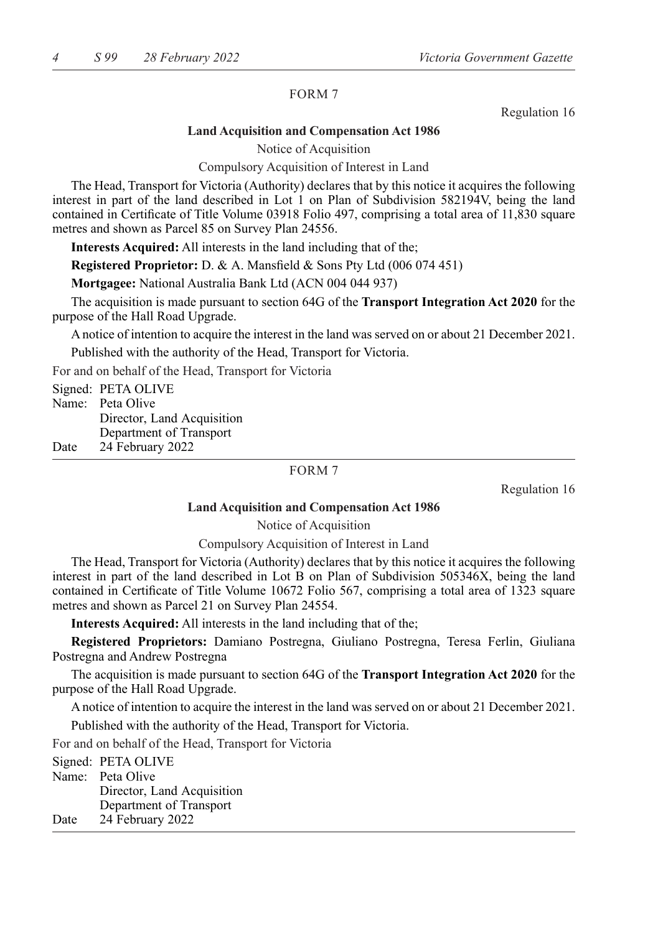Regulation 16

#### **Land Acquisition and Compensation Act 1986**

Notice of Acquisition

Compulsory Acquisition of Interest in Land

The Head, Transport for Victoria (Authority) declares that by this notice it acquires the following interest in part of the land described in Lot 1 on Plan of Subdivision 582194V, being the land contained in Certificate of Title Volume 03918 Folio 497, comprising a total area of 11,830 square metres and shown as Parcel 85 on Survey Plan 24556.

**Interests Acquired:** All interests in the land including that of the;

**Registered Proprietor:** D. & A. Mansfield & Sons Pty Ltd (006 074 451)

**Mortgagee:** National Australia Bank Ltd (ACN 004 044 937)

The acquisition is made pursuant to section 64G of the **Transport Integration Act 2020** for the purpose of the Hall Road Upgrade.

A notice of intention to acquire the interest in the land was served on or about 21 December 2021.

Published with the authority of the Head, Transport for Victoria.

For and on behalf of the Head, Transport for Victoria

|      | Signed: PETA OLIVE         |
|------|----------------------------|
|      | Name: Peta Olive           |
|      | Director, Land Acquisition |
|      | Department of Transport    |
| Date | 24 February 2022           |

#### FORM 7

Regulation 16

#### **Land Acquisition and Compensation Act 1986**

Notice of Acquisition

Compulsory Acquisition of Interest in Land

The Head, Transport for Victoria (Authority) declares that by this notice it acquires the following interest in part of the land described in Lot B on Plan of Subdivision 505346X, being the land contained in Certificate of Title Volume 10672 Folio 567, comprising a total area of 1323 square metres and shown as Parcel 21 on Survey Plan 24554.

**Interests Acquired:** All interests in the land including that of the;

**Registered Proprietors:** Damiano Postregna, Giuliano Postregna, Teresa Ferlin, Giuliana Postregna and Andrew Postregna

The acquisition is made pursuant to section 64G of the **Transport Integration Act 2020** for the purpose of the Hall Road Upgrade.

A notice of intention to acquire the interest in the land was served on or about 21 December 2021.

Published with the authority of the Head, Transport for Victoria.

For and on behalf of the Head, Transport for Victoria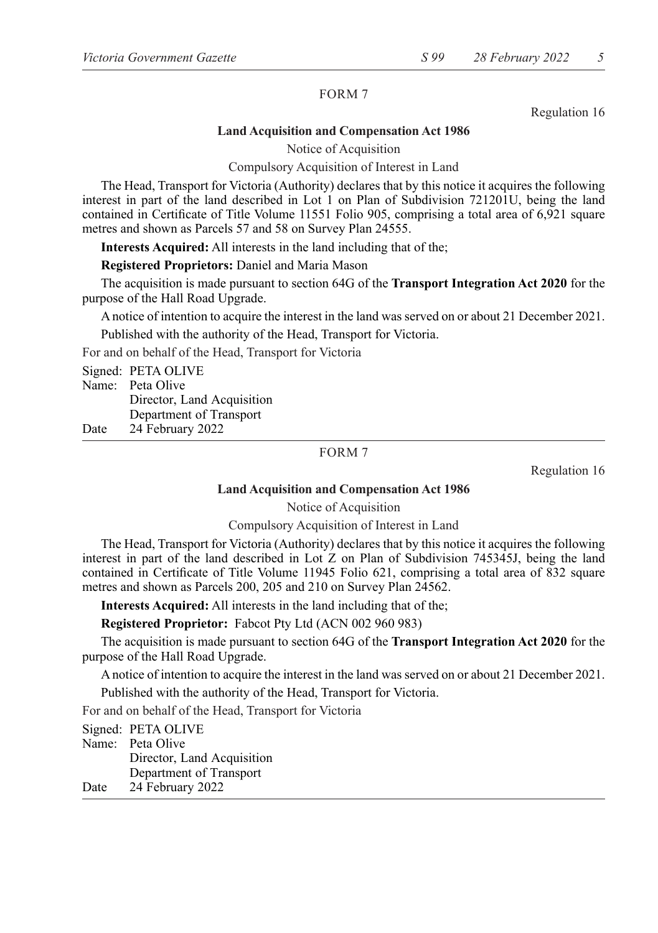Regulation 16

#### **Land Acquisition and Compensation Act 1986**

Notice of Acquisition

#### Compulsory Acquisition of Interest in Land

The Head, Transport for Victoria (Authority) declares that by this notice it acquires the following interest in part of the land described in Lot 1 on Plan of Subdivision 721201U, being the land contained in Certificate of Title Volume 11551 Folio 905, comprising a total area of 6,921 square metres and shown as Parcels 57 and 58 on Survey Plan 24555.

**Interests Acquired:** All interests in the land including that of the;

**Registered Proprietors:** Daniel and Maria Mason

The acquisition is made pursuant to section 64G of the **Transport Integration Act 2020** for the purpose of the Hall Road Upgrade.

A notice of intention to acquire the interest in the land was served on or about 21 December 2021.

Published with the authority of the Head, Transport for Victoria.

For and on behalf of the Head, Transport for Victoria

Signed: PETA OLIVE Name: Peta Olive Director, Land Acquisition Department of Transport Date 24 February 2022

#### FORM 7

Regulation 16

#### **Land Acquisition and Compensation Act 1986**

Notice of Acquisition

Compulsory Acquisition of Interest in Land

The Head, Transport for Victoria (Authority) declares that by this notice it acquires the following interest in part of the land described in Lot Z on Plan of Subdivision 745345J, being the land contained in Certificate of Title Volume 11945 Folio 621, comprising a total area of 832 square metres and shown as Parcels 200, 205 and 210 on Survey Plan 24562.

**Interests Acquired:** All interests in the land including that of the;

**Registered Proprietor:** Fabcot Pty Ltd (ACN 002 960 983)

The acquisition is made pursuant to section 64G of the **Transport Integration Act 2020** for the purpose of the Hall Road Upgrade.

A notice of intention to acquire the interest in the land was served on or about 21 December 2021. Published with the authority of the Head, Transport for Victoria.

For and on behalf of the Head, Transport for Victoria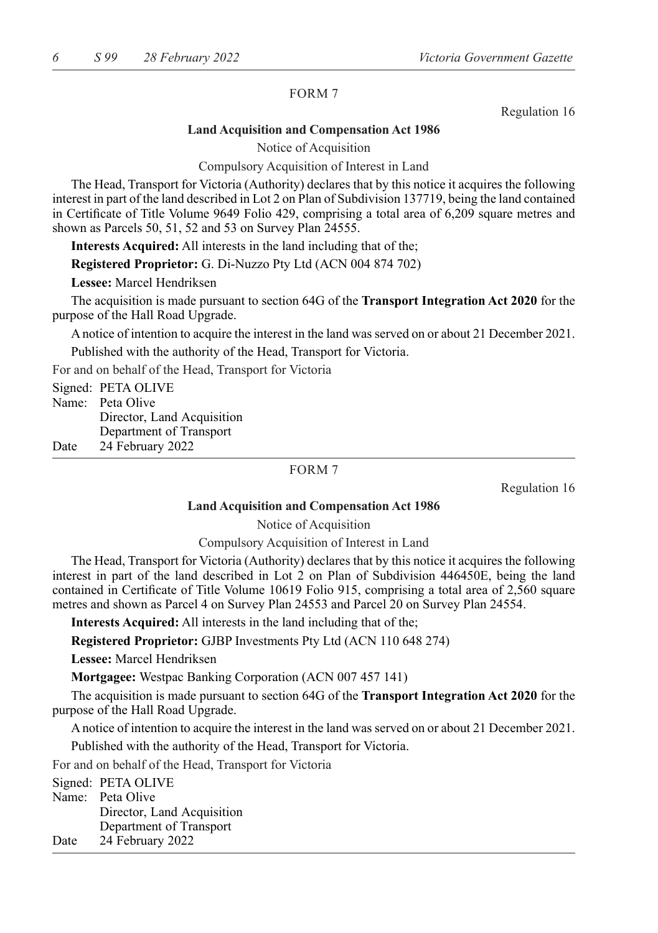Regulation 16

#### **Land Acquisition and Compensation Act 1986**

Notice of Acquisition

#### Compulsory Acquisition of Interest in Land

The Head, Transport for Victoria (Authority) declares that by this notice it acquires the following interest in part of the land described in Lot 2 on Plan of Subdivision 137719, being the land contained in Certificate of Title Volume 9649 Folio 429, comprising a total area of 6,209 square metres and shown as Parcels 50, 51, 52 and 53 on Survey Plan 24555.

**Interests Acquired:** All interests in the land including that of the;

**Registered Proprietor:** G. Di-Nuzzo Pty Ltd (ACN 004 874 702)

**Lessee:** Marcel Hendriksen

The acquisition is made pursuant to section 64G of the **Transport Integration Act 2020** for the purpose of the Hall Road Upgrade.

A notice of intention to acquire the interest in the land was served on or about 21 December 2021.

Published with the authority of the Head, Transport for Victoria.

For and on behalf of the Head, Transport for Victoria

Signed: PETA OLIVE Name: Peta Olive Director, Land Acquisition Department of Transport Date 24 February 2022

FORM 7

Regulation 16

#### **Land Acquisition and Compensation Act 1986**

Notice of Acquisition

Compulsory Acquisition of Interest in Land

The Head, Transport for Victoria (Authority) declares that by this notice it acquires the following interest in part of the land described in Lot 2 on Plan of Subdivision 446450E, being the land contained in Certificate of Title Volume 10619 Folio 915, comprising a total area of 2,560 square metres and shown as Parcel 4 on Survey Plan 24553 and Parcel 20 on Survey Plan 24554.

**Interests Acquired:** All interests in the land including that of the;

**Registered Proprietor:** GJBP Investments Pty Ltd (ACN 110 648 274)

**Lessee:** Marcel Hendriksen

**Mortgagee:** Westpac Banking Corporation (ACN 007 457 141)

The acquisition is made pursuant to section 64G of the **Transport Integration Act 2020** for the purpose of the Hall Road Upgrade.

A notice of intention to acquire the interest in the land was served on or about 21 December 2021.

Published with the authority of the Head, Transport for Victoria.

For and on behalf of the Head, Transport for Victoria

Signed: PETA OLIVE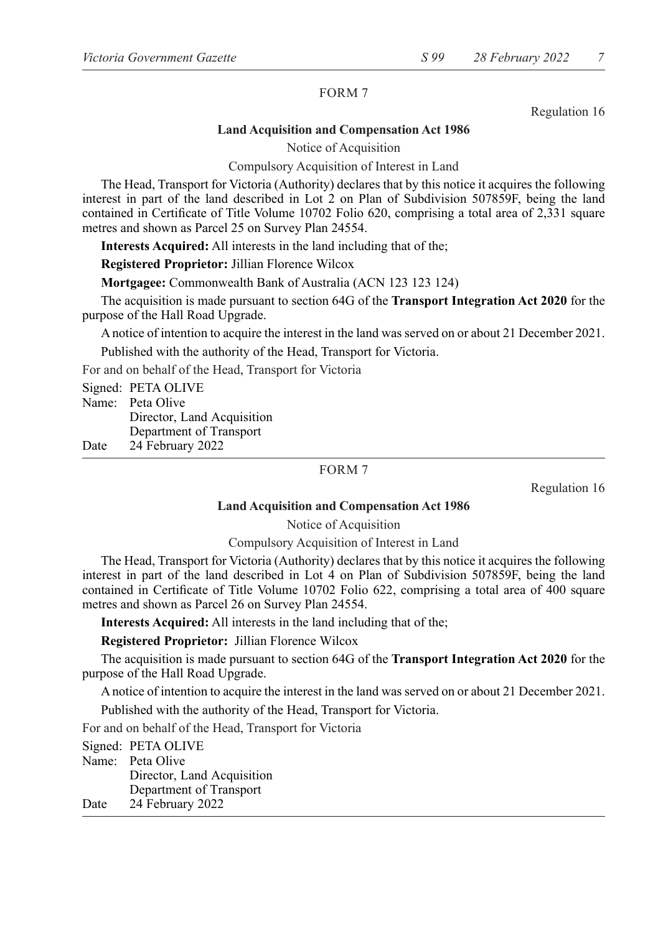Regulation 16

#### **Land Acquisition and Compensation Act 1986**

Notice of Acquisition

#### Compulsory Acquisition of Interest in Land

The Head, Transport for Victoria (Authority) declares that by this notice it acquires the following interest in part of the land described in Lot 2 on Plan of Subdivision 507859F, being the land contained in Certificate of Title Volume 10702 Folio 620, comprising a total area of 2,331 square metres and shown as Parcel 25 on Survey Plan 24554.

**Interests Acquired:** All interests in the land including that of the;

**Registered Proprietor:** Jillian Florence Wilcox

**Mortgagee:** Commonwealth Bank of Australia (ACN 123 123 124)

The acquisition is made pursuant to section 64G of the **Transport Integration Act 2020** for the purpose of the Hall Road Upgrade.

A notice of intention to acquire the interest in the land was served on or about 21 December 2021. Published with the authority of the Head, Transport for Victoria.

For and on behalf of the Head, Transport for Victoria

Signed: PETA OLIVE Name: Peta Olive Director, Land Acquisition Department of Transport Date 24 February 2022

FORM 7

Regulation 16

#### **Land Acquisition and Compensation Act 1986**

Notice of Acquisition

Compulsory Acquisition of Interest in Land

The Head, Transport for Victoria (Authority) declares that by this notice it acquires the following interest in part of the land described in Lot 4 on Plan of Subdivision 507859F, being the land contained in Certificate of Title Volume 10702 Folio 622, comprising a total area of 400 square metres and shown as Parcel 26 on Survey Plan 24554.

**Interests Acquired:** All interests in the land including that of the;

**Registered Proprietor:** Jillian Florence Wilcox

The acquisition is made pursuant to section 64G of the **Transport Integration Act 2020** for the purpose of the Hall Road Upgrade.

A notice of intention to acquire the interest in the land was served on or about 21 December 2021. Published with the authority of the Head, Transport for Victoria.

For and on behalf of the Head, Transport for Victoria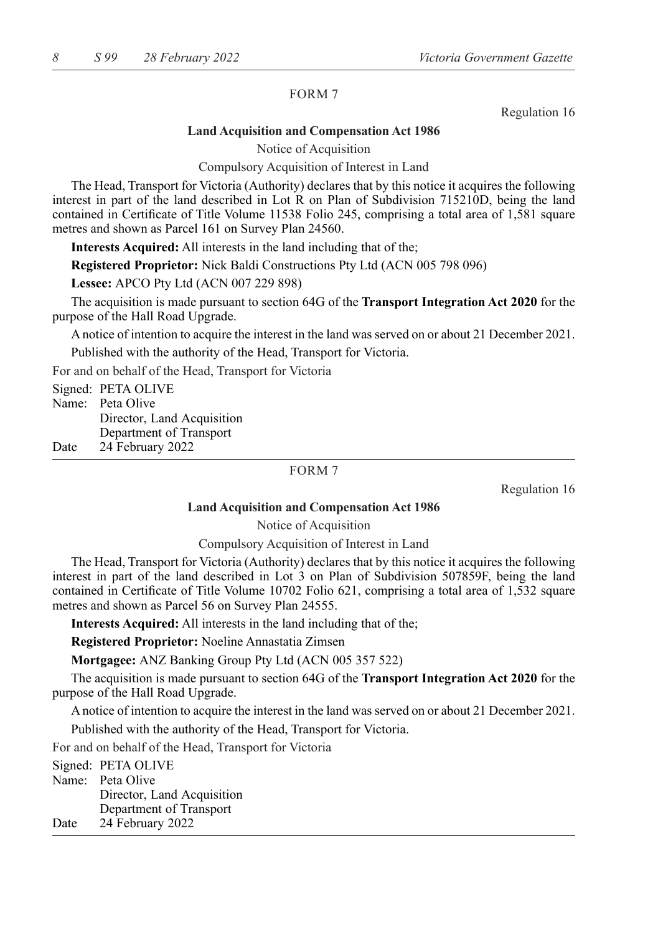Regulation 16

#### **Land Acquisition and Compensation Act 1986**

Notice of Acquisition

Compulsory Acquisition of Interest in Land

The Head, Transport for Victoria (Authority) declares that by this notice it acquires the following interest in part of the land described in Lot R on Plan of Subdivision 715210D, being the land contained in Certificate of Title Volume 11538 Folio 245, comprising a total area of 1,581 square metres and shown as Parcel 161 on Survey Plan 24560.

**Interests Acquired:** All interests in the land including that of the;

**Registered Proprietor:** Nick Baldi Constructions Pty Ltd (ACN 005 798 096)

**Lessee:** APCO Pty Ltd (ACN 007 229 898)

The acquisition is made pursuant to section 64G of the **Transport Integration Act 2020** for the purpose of the Hall Road Upgrade.

A notice of intention to acquire the interest in the land was served on or about 21 December 2021.

Published with the authority of the Head, Transport for Victoria.

For and on behalf of the Head, Transport for Victoria

Signed: PETA OLIVE Name: Peta Olive Director, Land Acquisition Department of Transport Date 24 February 2022

#### FORM 7

Regulation 16

#### **Land Acquisition and Compensation Act 1986**

Notice of Acquisition

Compulsory Acquisition of Interest in Land

The Head, Transport for Victoria (Authority) declares that by this notice it acquires the following interest in part of the land described in Lot 3 on Plan of Subdivision 507859F, being the land contained in Certificate of Title Volume 10702 Folio 621, comprising a total area of 1,532 square metres and shown as Parcel 56 on Survey Plan 24555.

**Interests Acquired:** All interests in the land including that of the;

**Registered Proprietor:** Noeline Annastatia Zimsen

**Mortgagee:** ANZ Banking Group Pty Ltd (ACN 005 357 522)

The acquisition is made pursuant to section 64G of the **Transport Integration Act 2020** for the purpose of the Hall Road Upgrade.

A notice of intention to acquire the interest in the land was served on or about 21 December 2021.

Published with the authority of the Head, Transport for Victoria.

For and on behalf of the Head, Transport for Victoria

Signed: PETA OLIVE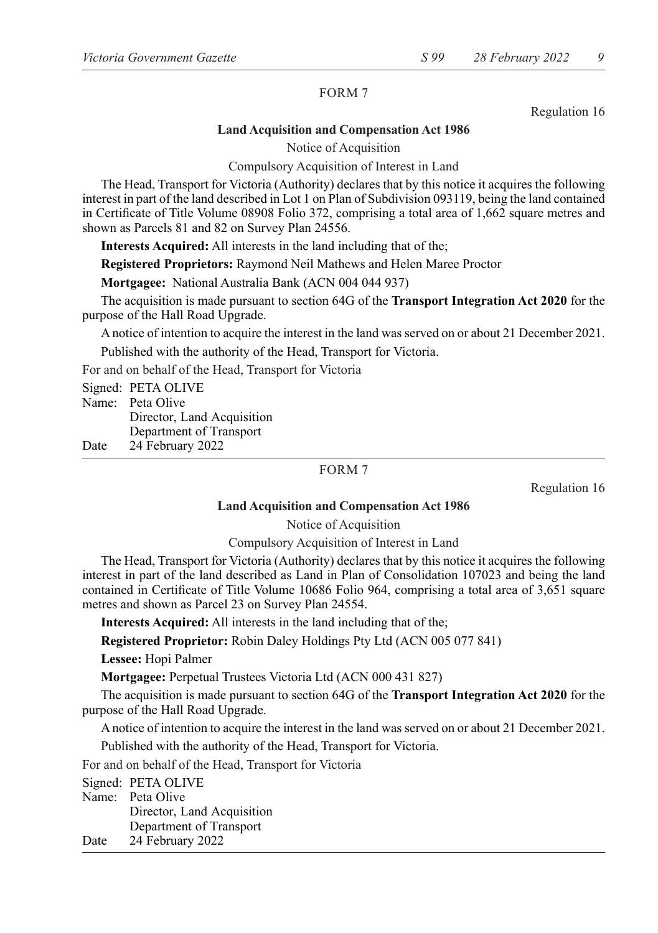Regulation 16

#### **Land Acquisition and Compensation Act 1986**

Notice of Acquisition

Compulsory Acquisition of Interest in Land

The Head, Transport for Victoria (Authority) declares that by this notice it acquires the following interest in part of the land described in Lot 1 on Plan of Subdivision 093119, being the land contained in Certificate of Title Volume 08908 Folio 372, comprising a total area of 1,662 square metres and shown as Parcels 81 and 82 on Survey Plan 24556.

**Interests Acquired:** All interests in the land including that of the;

**Registered Proprietors:** Raymond Neil Mathews and Helen Maree Proctor

**Mortgagee:** National Australia Bank (ACN 004 044 937)

The acquisition is made pursuant to section 64G of the **Transport Integration Act 2020** for the purpose of the Hall Road Upgrade.

A notice of intention to acquire the interest in the land was served on or about 21 December 2021. Published with the authority of the Head, Transport for Victoria.

For and on behalf of the Head, Transport for Victoria

Signed: PETA OLIVE Name: Peta Olive Director, Land Acquisition Department of Transport Date 24 February 2022

FORM 7

Regulation 16

#### **Land Acquisition and Compensation Act 1986**

Notice of Acquisition

Compulsory Acquisition of Interest in Land

The Head, Transport for Victoria (Authority) declares that by this notice it acquires the following interest in part of the land described as Land in Plan of Consolidation 107023 and being the land contained in Certificate of Title Volume 10686 Folio 964, comprising a total area of 3,651 square metres and shown as Parcel 23 on Survey Plan 24554.

**Interests Acquired:** All interests in the land including that of the;

**Registered Proprietor:** Robin Daley Holdings Pty Ltd (ACN 005 077 841)

**Lessee:** Hopi Palmer

**Mortgagee:** Perpetual Trustees Victoria Ltd (ACN 000 431 827)

The acquisition is made pursuant to section 64G of the **Transport Integration Act 2020** for the purpose of the Hall Road Upgrade.

A notice of intention to acquire the interest in the land was served on or about 21 December 2021. Published with the authority of the Head, Transport for Victoria.

For and on behalf of the Head, Transport for Victoria

Signed: PETA OLIVE

Name: Peta Olive

Director, Land Acquisition

Department of Transport

Date 24 February 2022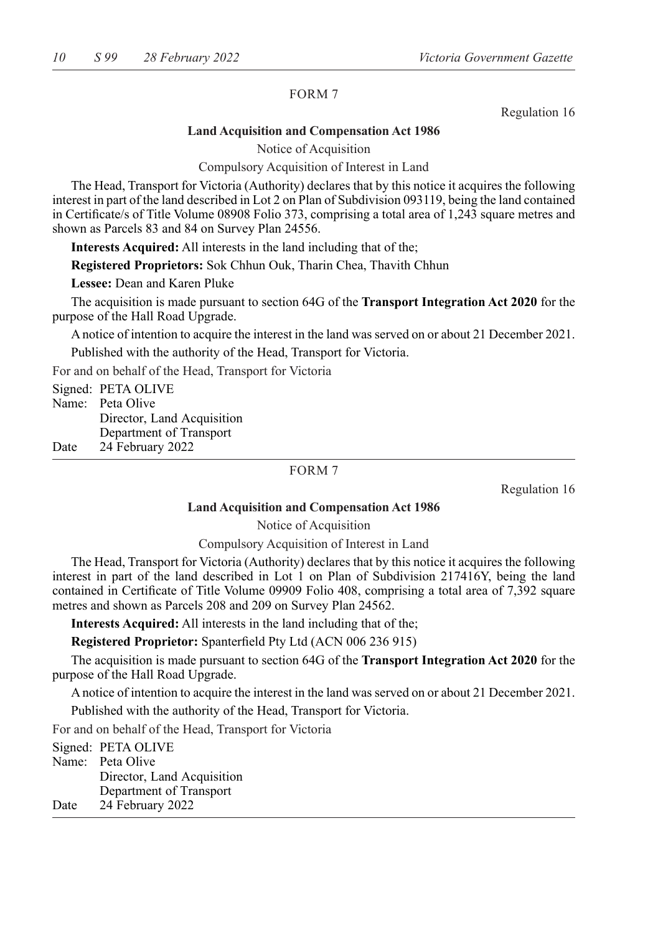Regulation 16

#### **Land Acquisition and Compensation Act 1986**

Notice of Acquisition

Compulsory Acquisition of Interest in Land

The Head, Transport for Victoria (Authority) declares that by this notice it acquires the following interest in part of the land described in Lot 2 on Plan of Subdivision 093119, being the land contained in Certificate/s of Title Volume 08908 Folio 373, comprising a total area of 1,243 square metres and shown as Parcels 83 and 84 on Survey Plan 24556.

**Interests Acquired:** All interests in the land including that of the;

**Registered Proprietors:** Sok Chhun Ouk, Tharin Chea, Thavith Chhun

**Lessee:** Dean and Karen Pluke

The acquisition is made pursuant to section 64G of the **Transport Integration Act 2020** for the purpose of the Hall Road Upgrade.

A notice of intention to acquire the interest in the land was served on or about 21 December 2021.

Published with the authority of the Head, Transport for Victoria.

For and on behalf of the Head, Transport for Victoria

Signed: PETA OLIVE Name: Peta Olive Director, Land Acquisition Department of Transport Date 24 February 2022

#### FORM 7

Regulation 16

#### **Land Acquisition and Compensation Act 1986**

Notice of Acquisition

Compulsory Acquisition of Interest in Land

The Head, Transport for Victoria (Authority) declares that by this notice it acquires the following interest in part of the land described in Lot 1 on Plan of Subdivision 217416Y, being the land contained in Certificate of Title Volume 09909 Folio 408, comprising a total area of 7,392 square metres and shown as Parcels 208 and 209 on Survey Plan 24562.

**Interests Acquired:** All interests in the land including that of the;

**Registered Proprietor:** Spanterfield Pty Ltd (ACN 006 236 915)

The acquisition is made pursuant to section 64G of the **Transport Integration Act 2020** for the purpose of the Hall Road Upgrade.

A notice of intention to acquire the interest in the land was served on or about 21 December 2021. Published with the authority of the Head, Transport for Victoria.

For and on behalf of the Head, Transport for Victoria

Signed: PETA OLIVE Name: Peta Olive Director, Land Acquisition Department of Transport

Date 24 February 2022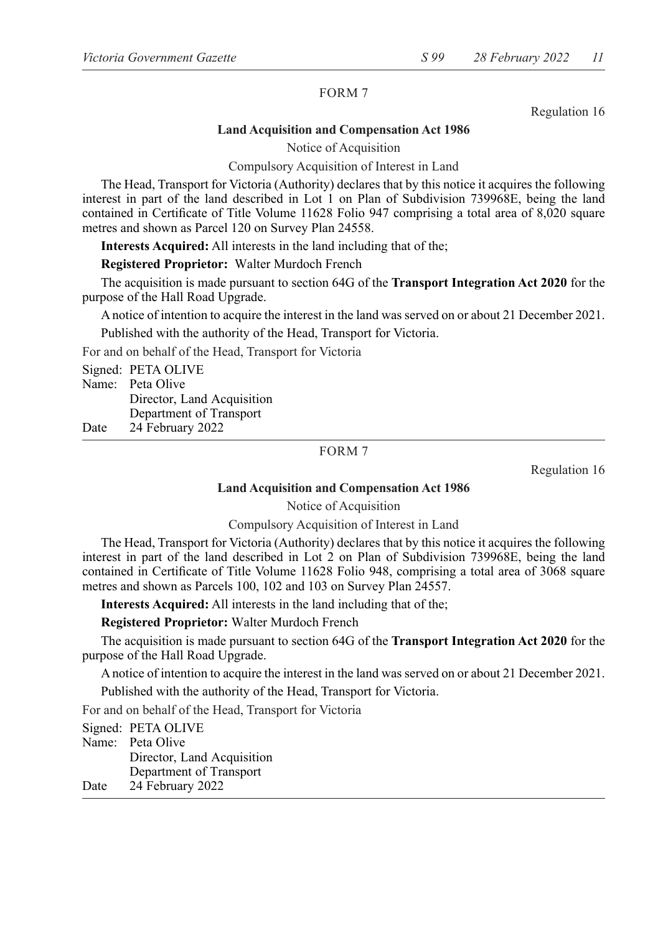Regulation 16

#### **Land Acquisition and Compensation Act 1986**

Notice of Acquisition

#### Compulsory Acquisition of Interest in Land

The Head, Transport for Victoria (Authority) declares that by this notice it acquires the following interest in part of the land described in Lot 1 on Plan of Subdivision 739968E, being the land contained in Certificate of Title Volume 11628 Folio 947 comprising a total area of 8,020 square metres and shown as Parcel 120 on Survey Plan 24558.

**Interests Acquired:** All interests in the land including that of the;

**Registered Proprietor:** Walter Murdoch French

The acquisition is made pursuant to section 64G of the **Transport Integration Act 2020** for the purpose of the Hall Road Upgrade.

A notice of intention to acquire the interest in the land was served on or about 21 December 2021.

Published with the authority of the Head, Transport for Victoria.

For and on behalf of the Head, Transport for Victoria

Signed: PETA OLIVE Name: Peta Olive

Director, Land Acquisition Department of Transport

Date 24 February 2022

#### FORM 7

Regulation 16

#### **Land Acquisition and Compensation Act 1986**

#### Notice of Acquisition

#### Compulsory Acquisition of Interest in Land

The Head, Transport for Victoria (Authority) declares that by this notice it acquires the following interest in part of the land described in Lot 2 on Plan of Subdivision 739968E, being the land contained in Certificate of Title Volume 11628 Folio 948, comprising a total area of 3068 square metres and shown as Parcels 100, 102 and 103 on Survey Plan 24557.

**Interests Acquired:** All interests in the land including that of the;

#### **Registered Proprietor:** Walter Murdoch French

The acquisition is made pursuant to section 64G of the **Transport Integration Act 2020** for the purpose of the Hall Road Upgrade.

A notice of intention to acquire the interest in the land was served on or about 21 December 2021.

Published with the authority of the Head, Transport for Victoria.

For and on behalf of the Head, Transport for Victoria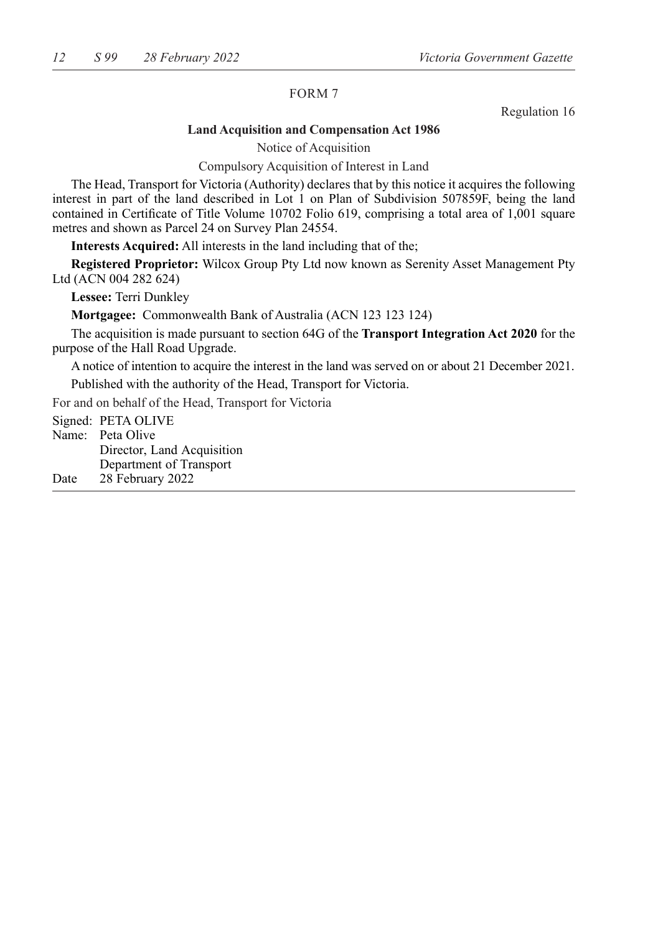Regulation 16

#### **Land Acquisition and Compensation Act 1986**

Notice of Acquisition

Compulsory Acquisition of Interest in Land

The Head, Transport for Victoria (Authority) declares that by this notice it acquires the following interest in part of the land described in Lot 1 on Plan of Subdivision 507859F, being the land contained in Certificate of Title Volume 10702 Folio 619, comprising a total area of 1,001 square metres and shown as Parcel 24 on Survey Plan 24554.

**Interests Acquired:** All interests in the land including that of the;

**Registered Proprietor:** Wilcox Group Pty Ltd now known as Serenity Asset Management Pty Ltd (ACN 004 282 624)

**Lessee:** Terri Dunkley

**Mortgagee:** Commonwealth Bank of Australia (ACN 123 123 124)

The acquisition is made pursuant to section 64G of the **Transport Integration Act 2020** for the purpose of the Hall Road Upgrade.

A notice of intention to acquire the interest in the land was served on or about 21 December 2021.

Published with the authority of the Head, Transport for Victoria.

For and on behalf of the Head, Transport for Victoria

Signed: PETA OLIVE

Name: Peta Olive Director, Land Acquisition Department of Transport Date 28 February 2022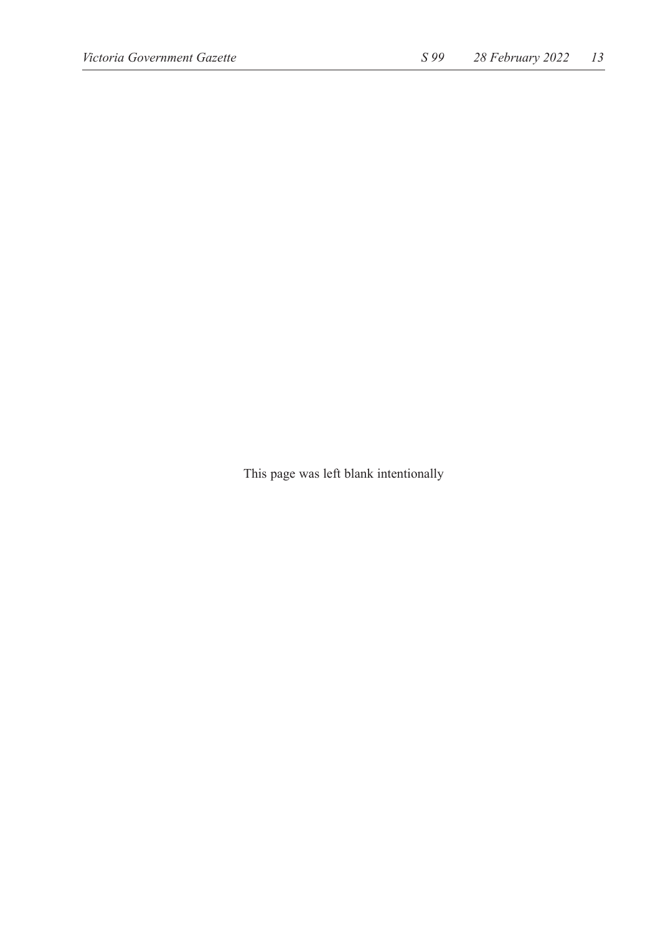This page was left blank intentionally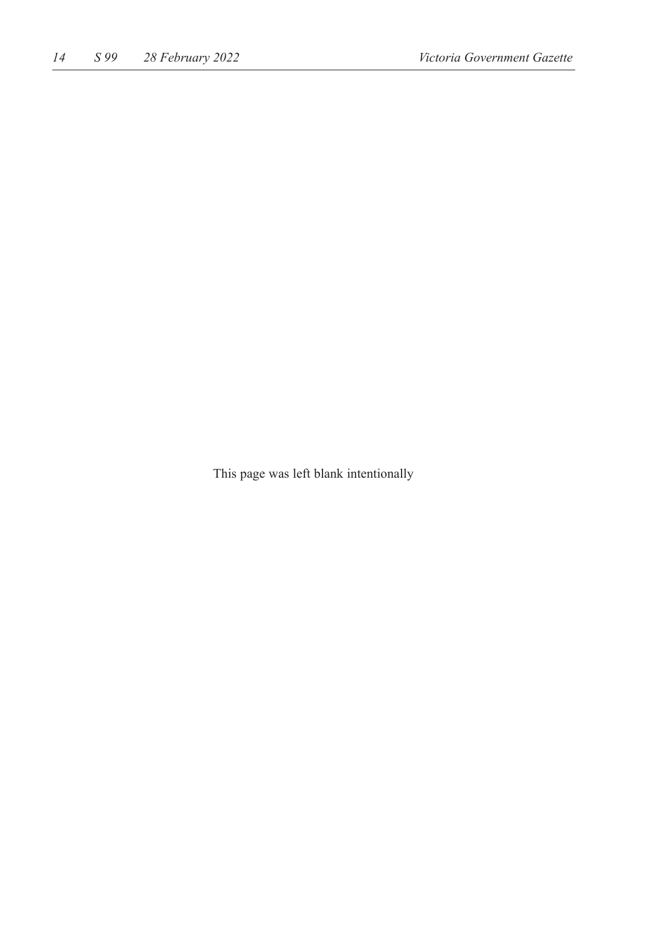This page was left blank intentionally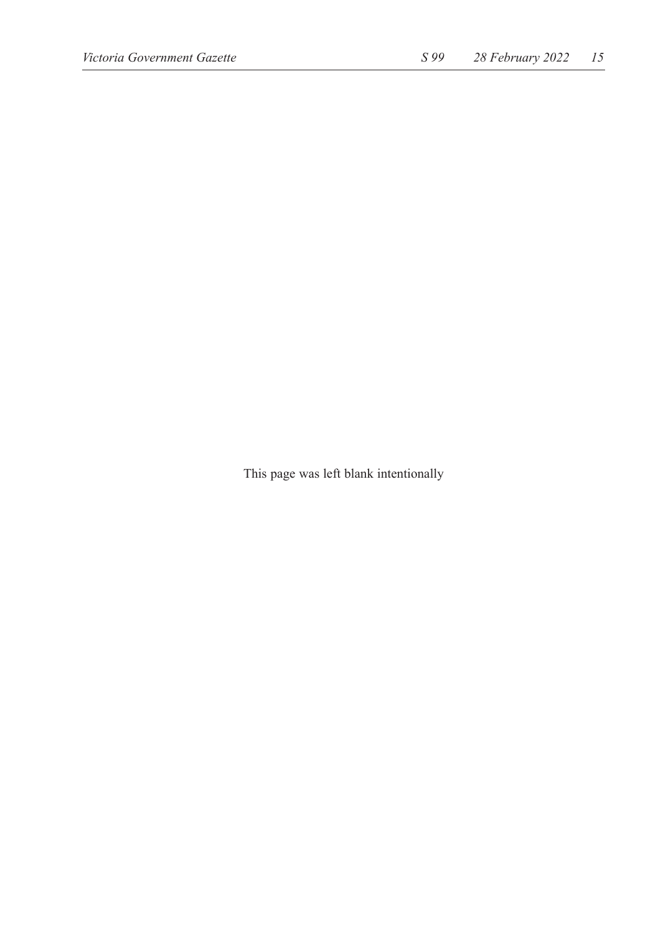This page was left blank intentionally